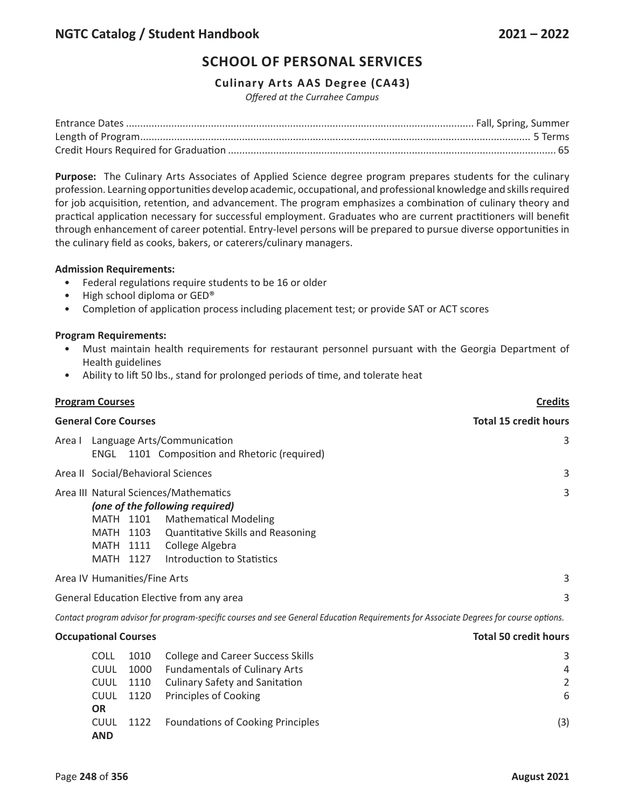# **Culinary Arts AAS Degree (CA43)**

*Offered at the Currahee Campus*

**Purpose:** The Culinary Arts Associates of Applied Science degree program prepares students for the culinary profession. Learning opportunities develop academic, occupational, and professional knowledge and skills required for job acquisition, retention, and advancement. The program emphasizes a combination of culinary theory and practical application necessary for successful employment. Graduates who are current practitioners will benefit through enhancement of career potential. Entry-level persons will be prepared to pursue diverse opportunities in the culinary field as cooks, bakers, or caterers/culinary managers.

## **Admission Requirements:**

- Federal regulations require students to be 16 or older
- High school diploma or GED®
- Completion of application process including placement test; or provide SAT or ACT scores

#### **Program Requirements:**

- Must maintain health requirements for restaurant personnel pursuant with the Georgia Department of Health guidelines
- Ability to lift 50 lbs., stand for prolonged periods of time, and tolerate heat

| <b>Program Courses</b>                                                                                                                                                                                                                                    |                              |  |  |  |
|-----------------------------------------------------------------------------------------------------------------------------------------------------------------------------------------------------------------------------------------------------------|------------------------------|--|--|--|
| <b>General Core Courses</b>                                                                                                                                                                                                                               | <b>Total 15 credit hours</b> |  |  |  |
| Area I Language Arts/Communication<br>1101 Composition and Rhetoric (required)<br>ENGL                                                                                                                                                                    |                              |  |  |  |
| Area II Social/Behavioral Sciences                                                                                                                                                                                                                        | 3                            |  |  |  |
| Area III Natural Sciences/Mathematics<br>(one of the following required)<br><b>Mathematical Modeling</b><br>MATH 1101<br><b>Quantitative Skills and Reasoning</b><br>MATH 1103<br>College Algebra<br>MATH 1111<br>Introduction to Statistics<br>MATH 1127 |                              |  |  |  |
| Area IV Humanities/Fine Arts                                                                                                                                                                                                                              | 3                            |  |  |  |
| General Education Elective from any area                                                                                                                                                                                                                  | 3                            |  |  |  |
| Contact program advisor for program-specific courses and see General Education Requirements for Associate Degrees for course options.                                                                                                                     |                              |  |  |  |

| <b>Occupational Courses</b> |           |                                          | <b>Total 50 credit hours</b> |  |
|-----------------------------|-----------|------------------------------------------|------------------------------|--|
| <b>COLL</b>                 | 1010      | <b>College and Career Success Skills</b> | 3                            |  |
| <b>CUUL</b>                 | 1000      | <b>Fundamentals of Culinary Arts</b>     | $\overline{a}$               |  |
|                             | CUUL 1110 | <b>Culinary Safety and Sanitation</b>    | 2                            |  |
|                             | CUUL 1120 | <b>Principles of Cooking</b>             | 6                            |  |
| <b>OR</b>                   |           |                                          |                              |  |
| <b>AND</b>                  | CUUL 1122 | <b>Foundations of Cooking Principles</b> | (3)                          |  |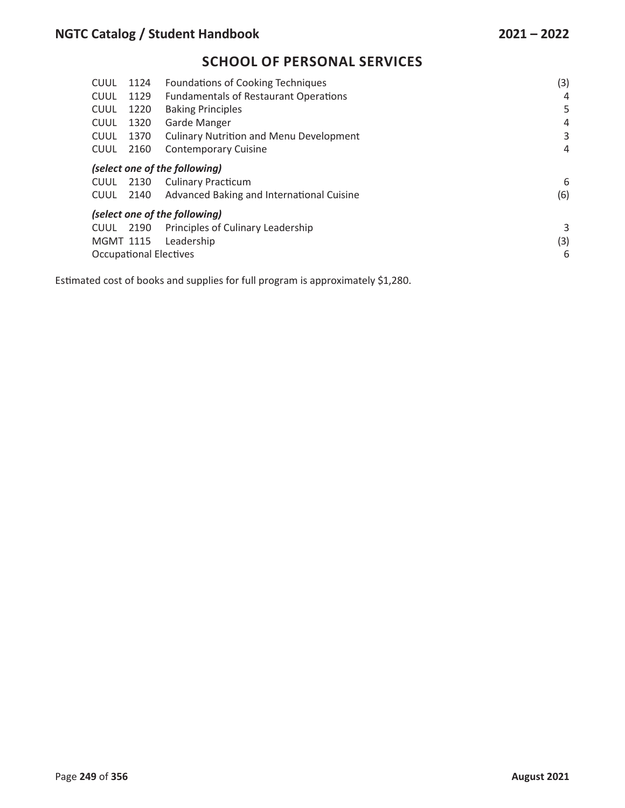| <b>CUUL</b>      | 1124                               | <b>Foundations of Cooking Techniques</b>       | (3) |  |  |
|------------------|------------------------------------|------------------------------------------------|-----|--|--|
| <b>CUUL</b>      | 1129                               | <b>Fundamentals of Restaurant Operations</b>   | 4   |  |  |
| <b>CUUL</b>      | 1220                               | <b>Baking Principles</b>                       | 5   |  |  |
| <b>CUUL</b>      | 1320                               | Garde Manger                                   | 4   |  |  |
| <b>CUUL</b>      | 1370                               | <b>Culinary Nutrition and Menu Development</b> | 3   |  |  |
| <b>CUUL</b>      | 2160                               | <b>Contemporary Cuisine</b>                    | 4   |  |  |
|                  |                                    | (select one of the following)                  |     |  |  |
| <b>CUUL</b>      | 2130                               | <b>Culinary Practicum</b>                      | 6   |  |  |
| <b>CUUL</b>      | 2140                               | Advanced Baking and International Cuisine      | (6) |  |  |
|                  |                                    | (select one of the following)                  |     |  |  |
| <b>CUUL</b>      | 2190                               | Principles of Culinary Leadership              | 3   |  |  |
| <b>MGMT 1115</b> |                                    | Leadership                                     | (3) |  |  |
|                  | 6<br><b>Occupational Electives</b> |                                                |     |  |  |
|                  |                                    |                                                |     |  |  |

Estimated cost of books and supplies for full program is approximately \$1,280.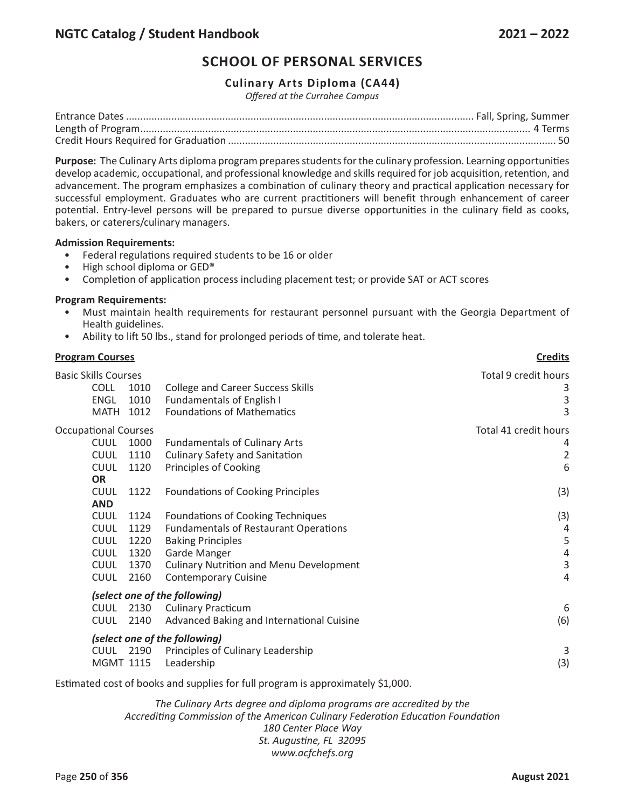# **Culinary Arts Diploma (CA44)**

*Offered at the Currahee Campus*

**Purpose:** The Culinary Arts diploma program prepares students for the culinary profession. Learning opportunities develop academic, occupational, and professional knowledge and skills required for job acquisition, retention, and advancement. The program emphasizes a combination of culinary theory and practical application necessary for successful employment. Graduates who are current practitioners will benefit through enhancement of career potential. Entry-level persons will be prepared to pursue diverse opportunities in the culinary field as cooks, bakers, or caterers/culinary managers.

#### **Admission Requirements:**

- Federal regulations required students to be 16 or older
- High school diploma or GED®
- Completion of application process including placement test; or provide SAT or ACT scores

#### **Program Requirements:**

- Must maintain health requirements for restaurant personnel pursuant with the Georgia Department of Health guidelines.
- Ability to lift 50 lbs., stand for prolonged periods of time, and tolerate heat.

| <b>Program Courses</b>                                                                                              | <b>Credits</b>                                                                                                                                                                                                                                                                                                     |                                                   |
|---------------------------------------------------------------------------------------------------------------------|--------------------------------------------------------------------------------------------------------------------------------------------------------------------------------------------------------------------------------------------------------------------------------------------------------------------|---------------------------------------------------|
| <b>Basic Skills Courses</b><br><b>COLL</b><br><b>ENGL</b><br>1012<br><b>MATH</b>                                    | 1010<br><b>College and Career Success Skills</b><br>1010<br><b>Fundamentals of English I</b><br><b>Foundations of Mathematics</b>                                                                                                                                                                                  | Total 9 credit hours<br>3<br>3<br>3               |
| <b>Occupational Courses</b><br><b>CUUL</b><br><b>CUUL</b><br><b>CUUL</b><br><b>OR</b>                               | 1000<br><b>Fundamentals of Culinary Arts</b><br><b>Culinary Safety and Sanitation</b><br>1110<br>1120<br>Principles of Cooking                                                                                                                                                                                     | Total 41 credit hours<br>4<br>$\overline{2}$<br>6 |
| <b>CUUL</b><br><b>AND</b><br><b>CUUL</b><br><b>CUUL</b><br><b>CUUL</b><br><b>CUUL</b><br><b>CUUL</b><br><b>CUUL</b> | <b>Foundations of Cooking Principles</b><br>1122<br>1124<br>Foundations of Cooking Techniques<br>1129<br><b>Fundamentals of Restaurant Operations</b><br>1220<br><b>Baking Principles</b><br>Garde Manger<br>1320<br>1370<br><b>Culinary Nutrition and Menu Development</b><br>2160<br><b>Contemporary Cuisine</b> | (3)<br>(3)<br>4<br>5<br>4<br>3<br>4               |
| <b>CUUL</b><br><b>CUUL</b><br>2140<br><b>CUUL 2190</b><br><b>MGMT 1115</b>                                          | (select one of the following)<br>2130<br><b>Culinary Practicum</b><br>Advanced Baking and International Cuisine<br>(select one of the following)<br>Principles of Culinary Leadership<br>Leadership                                                                                                                | 6<br>(6)<br>3<br>(3)                              |

Estimated cost of books and supplies for full program is approximately \$1,000.

*The Culinary Arts degree and diploma programs are accredited by the Accrediting Commission of the American Culinary Federation Education Foundation 180 Center Place Way St. Augustine, FL 32095 www.acfchefs.org*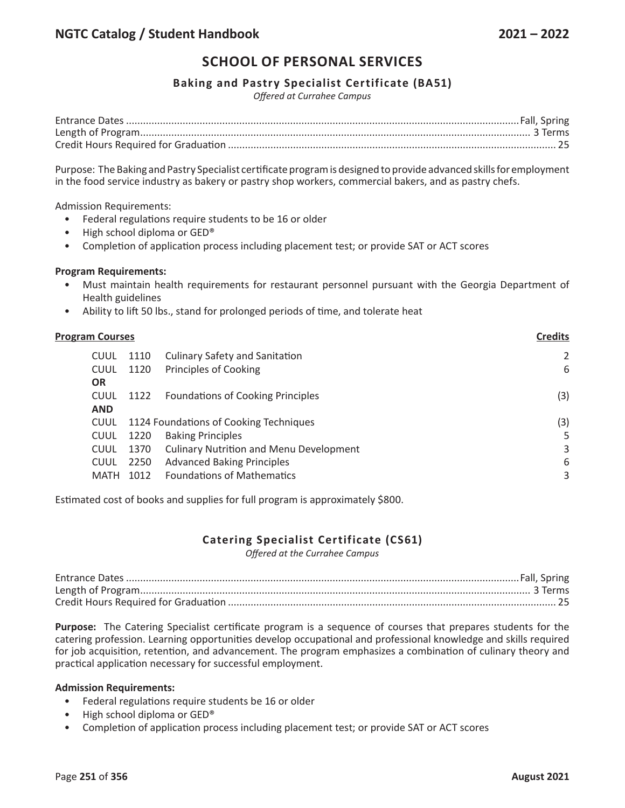## **Baking and Pastry Specialist Certificate (BA51)**

*Offered at Currahee Campus*

Purpose: The Baking and Pastry Specialist certificate program is designed to provide advanced skills for employment in the food service industry as bakery or pastry shop workers, commercial bakers, and as pastry chefs.

Admission Requirements:

- Federal regulations require students to be 16 or older
- High school diploma or GED®
- Completion of application process including placement test; or provide SAT or ACT scores

#### **Program Requirements:**

- Must maintain health requirements for restaurant personnel pursuant with the Georgia Department of Health guidelines
- Ability to lift 50 lbs., stand for prolonged periods of time, and tolerate heat

| <b>Program Courses</b> | <b>Credits</b> |                                                |                |
|------------------------|----------------|------------------------------------------------|----------------|
| CUUL                   | 1110           | <b>Culinary Safety and Sanitation</b>          | $\overline{2}$ |
| <b>CUUL</b>            | 1120           | Principles of Cooking                          | 6              |
| <b>OR</b>              |                |                                                |                |
| <b>CUUL</b>            | 1122           | <b>Foundations of Cooking Principles</b>       | (3)            |
| <b>AND</b>             |                |                                                |                |
| <b>CUUL</b>            |                | 1124 Foundations of Cooking Techniques         | (3)            |
| <b>CUUL</b>            | 1220           | <b>Baking Principles</b>                       | 5              |
| <b>CUUL</b>            | 1370           | <b>Culinary Nutrition and Menu Development</b> | 3              |
| <b>CUUL</b>            | 2250           | <b>Advanced Baking Principles</b>              | 6              |
| MATH                   | 1012           | <b>Foundations of Mathematics</b>              | 3              |
|                        |                |                                                |                |

Estimated cost of books and supplies for full program is approximately \$800.

# **Catering Specialist Certificate (CS61)**

*Offered at the Currahee Campus*

**Purpose:** The Catering Specialist certificate program is a sequence of courses that prepares students for the catering profession. Learning opportunities develop occupational and professional knowledge and skills required for job acquisition, retention, and advancement. The program emphasizes a combination of culinary theory and practical application necessary for successful employment.

#### **Admission Requirements:**

- Federal regulations require students be 16 or older
- High school diploma or GED®
- Completion of application process including placement test; or provide SAT or ACT scores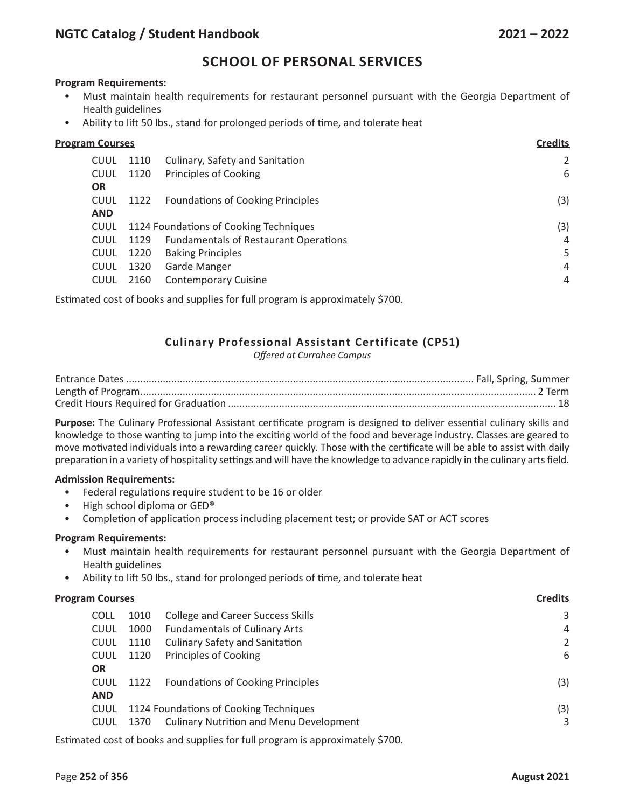## **Program Requirements:**

- Must maintain health requirements for restaurant personnel pursuant with the Georgia Department of Health guidelines
- Ability to lift 50 lbs., stand for prolonged periods of time, and tolerate heat

| <b>Program Courses</b> |             |      |                                              |     |
|------------------------|-------------|------|----------------------------------------------|-----|
|                        | <b>CUUL</b> | 1110 | Culinary, Safety and Sanitation              | 2   |
|                        | <b>CUUL</b> | 1120 | Principles of Cooking                        | 6   |
| <b>OR</b>              |             |      |                                              |     |
|                        | <b>CUUL</b> | 1122 | <b>Foundations of Cooking Principles</b>     | (3) |
| <b>AND</b>             |             |      |                                              |     |
|                        | <b>CUUL</b> |      | 1124 Foundations of Cooking Techniques       | (3) |
|                        | <b>CUUL</b> | 1129 | <b>Fundamentals of Restaurant Operations</b> | 4   |
|                        | <b>CUUL</b> | 1220 | <b>Baking Principles</b>                     | 5   |
|                        | <b>CUUL</b> | 1320 | Garde Manger                                 | 4   |
|                        | <b>CUUL</b> | 2160 | <b>Contemporary Cuisine</b>                  | 4   |
|                        |             |      |                                              |     |

Estimated cost of books and supplies for full program is approximately \$700.

# **Culinary Professional Assistant Certificate (CP51)**

*Offered at Currahee Campus*

**Purpose:** The Culinary Professional Assistant certificate program is designed to deliver essential culinary skills and knowledge to those wanting to jump into the exciting world of the food and beverage industry. Classes are geared to move motivated individuals into a rewarding career quickly. Those with the certificate will be able to assist with daily preparation in a variety of hospitality settings and will have the knowledge to advance rapidly in the culinary arts field.

## **Admission Requirements:**

- Federal regulations require student to be 16 or older
- High school diploma or GED®
- Completion of application process including placement test; or provide SAT or ACT scores

#### **Program Requirements:**

- Must maintain health requirements for restaurant personnel pursuant with the Georgia Department of Health guidelines
- Ability to lift 50 lbs., stand for prolonged periods of time, and tolerate heat

#### **Program Courses Credits**

| <b>COLL</b> | 1010 | <b>College and Career Success Skills</b>       | 3   |
|-------------|------|------------------------------------------------|-----|
| <b>CUUL</b> | 1000 | <b>Fundamentals of Culinary Arts</b>           | 4   |
| <b>CUUL</b> | 1110 | <b>Culinary Safety and Sanitation</b>          | 2   |
| <b>CUUL</b> | 1120 | Principles of Cooking                          | 6   |
| <b>OR</b>   |      |                                                |     |
| <b>CUUL</b> | 1122 | <b>Foundations of Cooking Principles</b>       | (3) |
| <b>AND</b>  |      |                                                |     |
| <b>CUUL</b> |      | 1124 Foundations of Cooking Techniques         | (3) |
| <b>CUUL</b> | 1370 | <b>Culinary Nutrition and Menu Development</b> | 3   |
|             |      |                                                |     |

Estimated cost of books and supplies for full program is approximately \$700.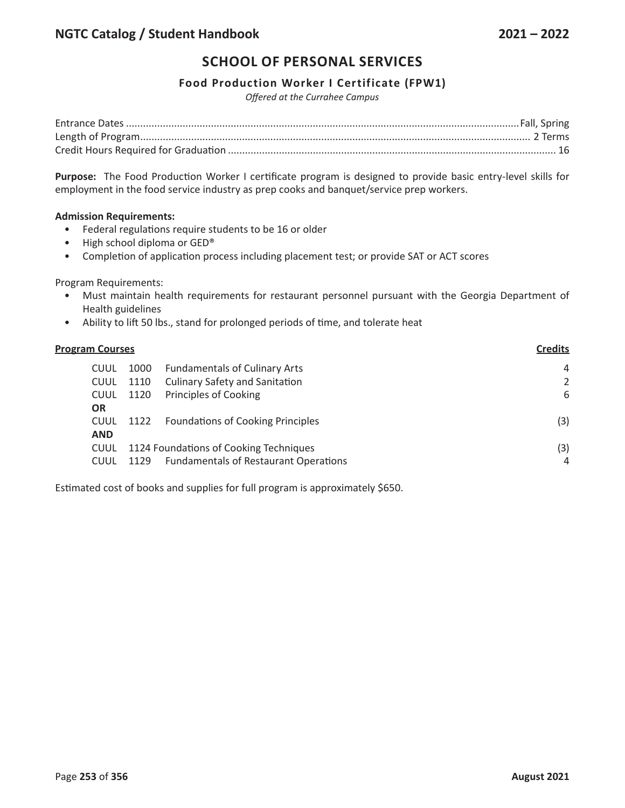## **Food Production Worker I Certificate (FPW1)**

*Offered at the Currahee Campus*

**Purpose:** The Food Production Worker I certificate program is designed to provide basic entry-level skills for employment in the food service industry as prep cooks and banquet/service prep workers.

## **Admission Requirements:**

- Federal regulations require students to be 16 or older
- High school diploma or GED®
- Completion of application process including placement test; or provide SAT or ACT scores

Program Requirements:

- Must maintain health requirements for restaurant personnel pursuant with the Georgia Department of Health guidelines
- Ability to lift 50 lbs., stand for prolonged periods of time, and tolerate heat

| <b>Program Courses</b> | <b>Credits</b>                         |                                              |     |
|------------------------|----------------------------------------|----------------------------------------------|-----|
| <b>CUUL</b>            | 1000                                   | <b>Fundamentals of Culinary Arts</b>         | 4   |
| <b>CUUL</b>            | 1110                                   | <b>Culinary Safety and Sanitation</b>        | 2   |
| <b>CUUL</b>            | 1120                                   | Principles of Cooking                        | 6   |
| <b>OR</b>              |                                        |                                              |     |
| <b>CUUL</b>            | 1122                                   | <b>Foundations of Cooking Principles</b>     | (3) |
| <b>AND</b>             |                                        |                                              |     |
| <b>CUUL</b>            | 1124 Foundations of Cooking Techniques |                                              | (3) |
| <b>CUUL</b>            | 1129                                   | <b>Fundamentals of Restaurant Operations</b> | 4   |
|                        |                                        |                                              |     |

Estimated cost of books and supplies for full program is approximately \$650.